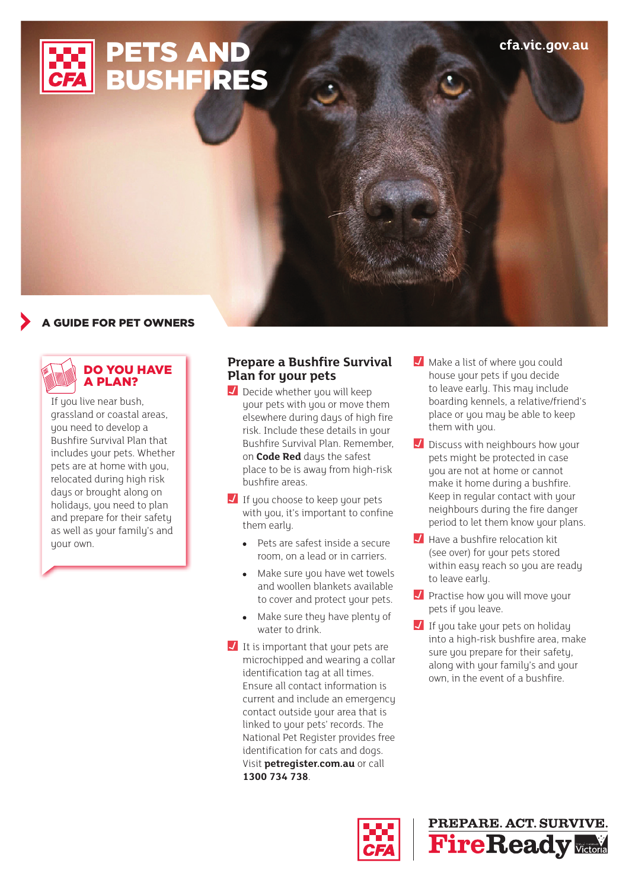

# **GUIDE FOR PET OWNERS**



### DO YOU HAVE A PLAN?

If you live near bush, grassland or coastal areas, you need to develop a Bushfire Survival Plan that includes your pets. Whether pets are at home with you, relocated during high risk days or brought along on holidays, you need to plan and prepare for their safety as well as your family's and your own.

### **Prepare a Bushfire Survival Plan for your pets**

- $\overline{J}$  Decide whether you will keep your pets with you or move them elsewhere during days of high fire risk. Include these details in your Bushfire Survival Plan. Remember, on **Code Red** days the safest place to be is away from high-risk bushfire areas.
- $\blacksquare$  If you choose to keep your pets with you, it's important to confine them early.
	- Pets are safest inside a secure room, on a lead or in carriers.
	- Make sure you have wet towels and woollen blankets available to cover and protect your pets.
	- Make sure they have plenty of water to drink.
- $\overline{\phantom{a}}$  It is important that your pets are microchipped and wearing a collar identification tag at all times. Ensure all contact information is current and include an emergency contact outside your area that is linked to your pets' records. The National Pet Register provides free identification for cats and dogs. Visit **[petregister.com.au](http://www.petregister.com.au)** or call **1300 734 738**.
- Make a list of where you could house your pets if you decide to leave early. This may include boarding kennels, a relative/friend's place or you may be able to keep them with you.
- $\Box$  Discuss with neighbours how your pets might be protected in case you are not at home or cannot make it home during a bushfire. Keep in regular contact with your neighbours during the fire danger period to let them know your plans.
- $\blacksquare$  Have a bushfire relocation kit (see over) for your pets stored within easy reach so you are ready to leave early.
- **J** Practise how you will move your pets if you leave.
- $\blacksquare$  If you take your pets on holiday into a high-risk bushfire area, make sure you prepare for their safety. along with your family's and your own, in the event of a bushfire.